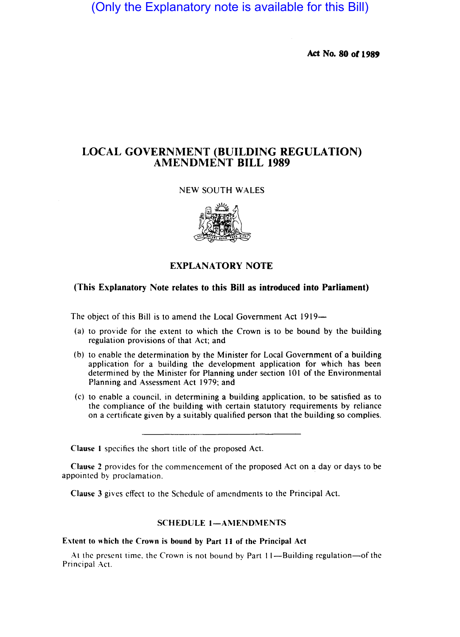(Only the Explanatory note is available for this Bill)

Act No. 80 or 1989

# LOCAL GOVERNMENT (BUILDING REGULATION) AMENDMENT BILL 1989

## NEW SOUTH WALES



### EXPLANATORY NOTE

### (This Explanatory Note relates to this Bill as introduced into Parliament)

The object of this Bill is to amend the Local Government Act 1919—

- (a) to provide for the extent to which the Crown is to be bound by the building regulation provisions of that Act; and
- (b) to enable the determination by the Minister for Local Government of a building application for a building the development application for which has been determined by the Minister for Planning under section 101 of the Environmental Planning and Assessment Act 1979; and
- (c) to enable a council. in determining a building application, to be satisfied as to the compliance of the building with certain statutory requirements by reliance on a certificate given by a suitably qualified person that the building so complies.

Clause I specifics the short title of the proposed Act.

Clause 2 provides for the commencement of the proposed Act on a day or days to be appointed by proclamation. .

Clause 3 gives effect to the Schedule of amendments to the Principal Act.

### SCHEDULE 1-AMENDMENTS

#### Extent to which the Crown is bound by Part II of the Principal Act

At the present time. the Crown is not bound by Part I I-Building regulation-of the Principal Act.